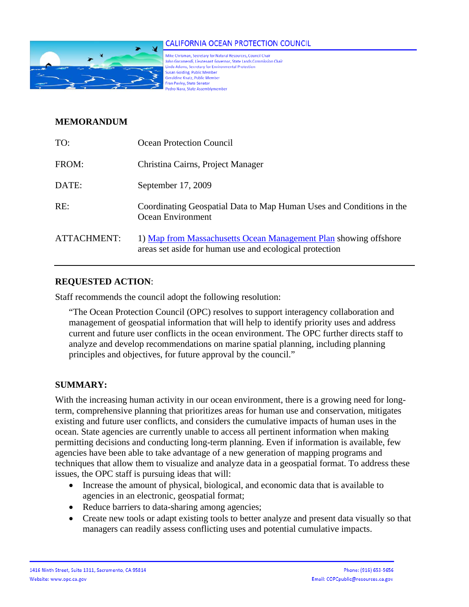

### **CALIFORNIA OCEAN PROTECTION COUNCIL**

Mike Chrisman, Secretary for Natural Resources, Council Chair John Garamendi, Lieutenant Governor, State Lands Commission Chair Linda Adams, Secretary for Environmental Protectio Susan Golding, Public Member Geraldine Knatz, Public Member Fran Pavley, State Senator edro Nava, State Assembly

## **MEMORANDUM**

| TO:         | Ocean Protection Council                                                                                                    |
|-------------|-----------------------------------------------------------------------------------------------------------------------------|
| FROM:       | Christina Cairns, Project Manager                                                                                           |
| DATE:       | September 17, 2009                                                                                                          |
| RE:         | Coordinating Geospatial Data to Map Human Uses and Conditions in the<br>Ocean Environment                                   |
| ATTACHMENT: | 1) Map from Massachusetts Ocean Management Plan showing offshore<br>areas set aside for human use and ecological protection |

# **REQUESTED ACTION**:

Staff recommends the council adopt the following resolution:

"The Ocean Protection Council (OPC) resolves to support interagency collaboration and management of geospatial information that will help to identify priority uses and address current and future user conflicts in the ocean environment. The OPC further directs staff to analyze and develop recommendations on marine spatial planning, including planning principles and objectives, for future approval by the council."

## **SUMMARY:**

With the increasing human activity in our ocean environment, there is a growing need for longterm, comprehensive planning that prioritizes areas for human use and conservation, mitigates existing and future user conflicts, and considers the cumulative impacts of human uses in the ocean. State agencies are currently unable to access all pertinent information when making permitting decisions and conducting long-term planning. Even if information is available, few agencies have been able to take advantage of a new generation of mapping programs and techniques that allow them to visualize and analyze data in a geospatial format. To address these issues, the OPC staff is pursuing ideas that will:

- Increase the amount of physical, biological, and economic data that is available to agencies in an electronic, geospatial format;
- Reduce barriers to data-sharing among agencies;
- Create new tools or adapt existing tools to better analyze and present data visually so that managers can readily assess conflicting uses and potential cumulative impacts.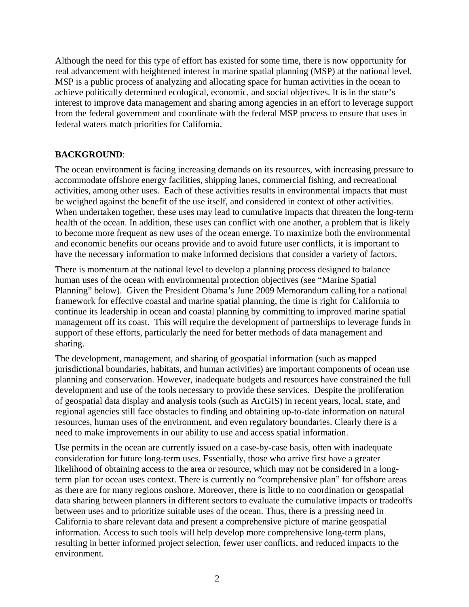Although the need for this type of effort has existed for some time, there is now opportunity for real advancement with heightened interest in marine spatial planning (MSP) at the national level. MSP is a public process of analyzing and allocating space for human activities in the ocean to achieve politically determined ecological, economic, and social objectives. It is in the state's interest to improve data management and sharing among agencies in an effort to leverage support from the federal government and coordinate with the federal MSP process to ensure that uses in federal waters match priorities for California.

## **BACKGROUND**:

The ocean environment is facing increasing demands on its resources, with increasing pressure to accommodate offshore energy facilities, shipping lanes, commercial fishing, and recreational activities, among other uses. Each of these activities results in environmental impacts that must be weighed against the benefit of the use itself, and considered in context of other activities. When undertaken together, these uses may lead to cumulative impacts that threaten the long-term health of the ocean. In addition, these uses can conflict with one another, a problem that is likely to become more frequent as new uses of the ocean emerge. To maximize both the environmental and economic benefits our oceans provide and to avoid future user conflicts, it is important to have the necessary information to make informed decisions that consider a variety of factors.

There is momentum at the national level to develop a planning process designed to balance human uses of the ocean with environmental protection objectives (see "Marine Spatial Planning" below). Given the President Obama's June 2009 Memorandum calling for a national framework for effective coastal and marine spatial planning, the time is right for California to continue its leadership in ocean and coastal planning by committing to improved marine spatial management off its coast. This will require the development of partnerships to leverage funds in support of these efforts, particularly the need for better methods of data management and sharing.

The development, management, and sharing of geospatial information (such as mapped jurisdictional boundaries, habitats, and human activities) are important components of ocean use planning and conservation. However, inadequate budgets and resources have constrained the full development and use of the tools necessary to provide these services. Despite the proliferation of geospatial data display and analysis tools (such as ArcGIS) in recent years, local, state, and regional agencies still face obstacles to finding and obtaining up-to-date information on natural resources, human uses of the environment, and even regulatory boundaries. Clearly there is a need to make improvements in our ability to use and access spatial information.

Use permits in the ocean are currently issued on a case-by-case basis, often with inadequate consideration for future long-term uses. Essentially, those who arrive first have a greater likelihood of obtaining access to the area or resource, which may not be considered in a longterm plan for ocean uses context. There is currently no "comprehensive plan" for offshore areas as there are for many regions onshore. Moreover, there is little to no coordination or geospatial data sharing between planners in different sectors to evaluate the cumulative impacts or tradeoffs between uses and to prioritize suitable uses of the ocean. Thus, there is a pressing need in California to share relevant data and present a comprehensive picture of marine geospatial information. Access to such tools will help develop more comprehensive long-term plans, resulting in better informed project selection, fewer user conflicts, and reduced impacts to the environment.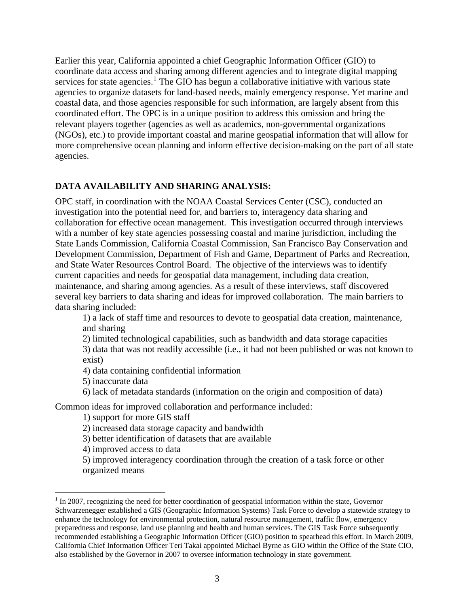Earlier this year, California appointed a chief Geographic Information Officer (GIO) to coordinate data access and sharing among different agencies and to integrate digital mapping services for state agencies.<sup>[1](#page-2-0)</sup> The GIO has begun a collaborative initiative with various state agencies to organize datasets for land-based needs, mainly emergency response. Yet marine and coastal data, and those agencies responsible for such information, are largely absent from this coordinated effort. The OPC is in a unique position to address this omission and bring the relevant players together (agencies as well as academics, non-governmental organizations (NGOs), etc.) to provide important coastal and marine geospatial information that will allow for more comprehensive ocean planning and inform effective decision-making on the part of all state agencies.

# **DATA AVAILABILITY AND SHARING ANALYSIS:**

OPC staff, in coordination with the NOAA Coastal Services Center (CSC), conducted an investigation into the potential need for, and barriers to, interagency data sharing and collaboration for effective ocean management. This investigation occurred through interviews with a number of key state agencies possessing coastal and marine jurisdiction, including the State Lands Commission, California Coastal Commission, San Francisco Bay Conservation and Development Commission, Department of Fish and Game, Department of Parks and Recreation, and State Water Resources Control Board. The objective of the interviews was to identify current capacities and needs for geospatial data management, including data creation, maintenance, and sharing among agencies. As a result of these interviews, staff discovered several key barriers to data sharing and ideas for improved collaboration. The main barriers to data sharing included:

1) a lack of staff time and resources to devote to geospatial data creation, maintenance, and sharing

2) limited technological capabilities, such as bandwidth and data storage capacities

3) data that was not readily accessible (i.e., it had not been published or was not known to exist)

4) data containing confidential information

5) inaccurate data

<u>.</u>

6) lack of metadata standards (information on the origin and composition of data)

Common ideas for improved collaboration and performance included:

1) support for more GIS staff

2) increased data storage capacity and bandwidth

3) better identification of datasets that are available

4) improved access to data

5) improved interagency coordination through the creation of a task force or other organized means

<span id="page-2-0"></span> $1 \text{ In } 2007$ , recognizing the need for better coordination of geospatial information within the state, Governor Schwarzenegger established a GIS (Geographic Information Systems) Task Force to develop a statewide strategy to enhance the technology for environmental protection, natural resource management, traffic flow, emergency preparedness and response, land use planning and health and human services. The GIS Task Force subsequently recommended establishing a Geographic Information Officer (GIO) position to spearhead this effort. In March 2009, California Chief Information Officer Teri Takai appointed Michael Byrne as GIO within the Office of the State CIO, also established by the Governor in 2007 to oversee information technology in state government.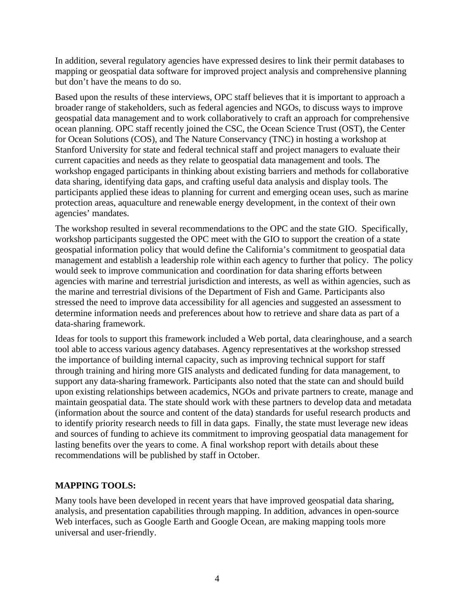In addition, several regulatory agencies have expressed desires to link their permit databases to mapping or geospatial data software for improved project analysis and comprehensive planning but don't have the means to do so.

Based upon the results of these interviews, OPC staff believes that it is important to approach a broader range of stakeholders, such as federal agencies and NGOs, to discuss ways to improve geospatial data management and to work collaboratively to craft an approach for comprehensive ocean planning. OPC staff recently joined the CSC, the Ocean Science Trust (OST), the Center for Ocean Solutions (COS), and The Nature Conservancy (TNC) in hosting a workshop at Stanford University for state and federal technical staff and project managers to evaluate their current capacities and needs as they relate to geospatial data management and tools. The workshop engaged participants in thinking about existing barriers and methods for collaborative data sharing, identifying data gaps, and crafting useful data analysis and display tools. The participants applied these ideas to planning for current and emerging ocean uses, such as marine protection areas, aquaculture and renewable energy development, in the context of their own agencies' mandates.

The workshop resulted in several recommendations to the OPC and the state GIO. Specifically, workshop participants suggested the OPC meet with the GIO to support the creation of a state geospatial information policy that would define the California's commitment to geospatial data management and establish a leadership role within each agency to further that policy. The policy would seek to improve communication and coordination for data sharing efforts between agencies with marine and terrestrial jurisdiction and interests, as well as within agencies, such as the marine and terrestrial divisions of the Department of Fish and Game. Participants also stressed the need to improve data accessibility for all agencies and suggested an assessment to determine information needs and preferences about how to retrieve and share data as part of a data-sharing framework.

Ideas for tools to support this framework included a Web portal, data clearinghouse, and a search tool able to access various agency databases. Agency representatives at the workshop stressed the importance of building internal capacity, such as improving technical support for staff through training and hiring more GIS analysts and dedicated funding for data management, to support any data-sharing framework. Participants also noted that the state can and should build upon existing relationships between academics, NGOs and private partners to create, manage and maintain geospatial data. The state should work with these partners to develop data and metadata (information about the source and content of the data) standards for useful research products and to identify priority research needs to fill in data gaps. Finally, the state must leverage new ideas and sources of funding to achieve its commitment to improving geospatial data management for lasting benefits over the years to come. A final workshop report with details about these recommendations will be published by staff in October.

#### **MAPPING TOOLS:**

Many tools have been developed in recent years that have improved geospatial data sharing, analysis, and presentation capabilities through mapping. In addition, advances in open-source Web interfaces, such as Google Earth and Google Ocean, are making mapping tools more universal and user-friendly.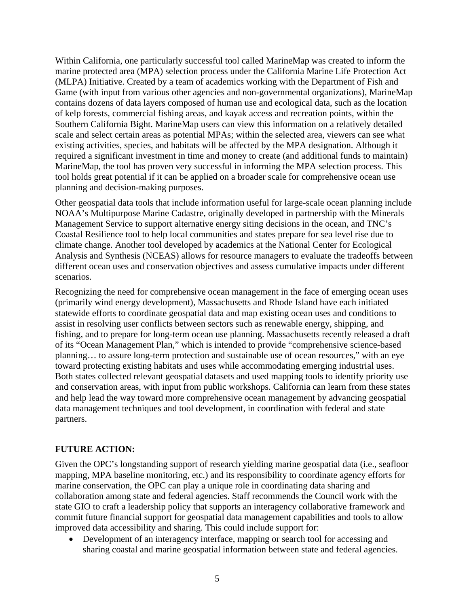Within California, one particularly successful tool called MarineMap was created to inform the marine protected area (MPA) selection process under the California Marine Life Protection Act (MLPA) Initiative. Created by a team of academics working with the Department of Fish and Game (with input from various other agencies and non-governmental organizations), MarineMap contains dozens of data layers composed of human use and ecological data, such as the location of kelp forests, commercial fishing areas, and kayak access and recreation points, within the Southern California Bight. MarineMap users can view this information on a relatively detailed scale and select certain areas as potential MPAs; within the selected area, viewers can see what existing activities, species, and habitats will be affected by the MPA designation. Although it required a significant investment in time and money to create (and additional funds to maintain) MarineMap, the tool has proven very successful in informing the MPA selection process. This tool holds great potential if it can be applied on a broader scale for comprehensive ocean use planning and decision-making purposes.

Other geospatial data tools that include information useful for large-scale ocean planning include NOAA's Multipurpose Marine Cadastre, originally developed in partnership with the Minerals Management Service to support alternative energy siting decisions in the ocean, and TNC's Coastal Resilience tool to help local communities and states prepare for sea level rise due to climate change. Another tool developed by academics at the National Center for Ecological Analysis and Synthesis (NCEAS) allows for resource managers to evaluate the tradeoffs between different ocean uses and conservation objectives and assess cumulative impacts under different scenarios.

Recognizing the need for comprehensive ocean management in the face of emerging ocean uses (primarily wind energy development), Massachusetts and Rhode Island have each initiated statewide efforts to coordinate geospatial data and map existing ocean uses and conditions to assist in resolving user conflicts between sectors such as renewable energy, shipping, and fishing, and to prepare for long-term ocean use planning. Massachusetts recently released a draft of its "Ocean Management Plan," which is intended to provide "comprehensive science-based planning… to assure long-term protection and sustainable use of ocean resources," with an eye toward protecting existing habitats and uses while accommodating emerging industrial uses. Both states collected relevant geospatial datasets and used mapping tools to identify priority use and conservation areas, with input from public workshops. California can learn from these states and help lead the way toward more comprehensive ocean management by advancing geospatial data management techniques and tool development, in coordination with federal and state partners.

## **FUTURE ACTION:**

Given the OPC's longstanding support of research yielding marine geospatial data (i.e., seafloor mapping, MPA baseline monitoring, etc.) and its responsibility to coordinate agency efforts for marine conservation, the OPC can play a unique role in coordinating data sharing and collaboration among state and federal agencies. Staff recommends the Council work with the state GIO to craft a leadership policy that supports an interagency collaborative framework and commit future financial support for geospatial data management capabilities and tools to allow improved data accessibility and sharing. This could include support for:

• Development of an interagency interface, mapping or search tool for accessing and sharing coastal and marine geospatial information between state and federal agencies.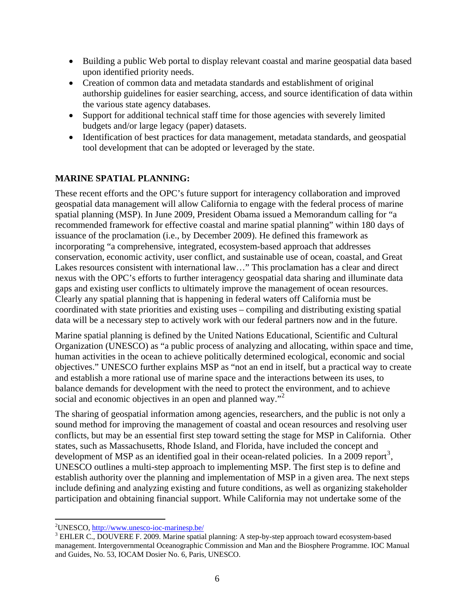- Building a public Web portal to display relevant coastal and marine geospatial data based upon identified priority needs.
- Creation of common data and metadata standards and establishment of original authorship guidelines for easier searching, access, and source identification of data within the various state agency databases.
- Support for additional technical staff time for those agencies with severely limited budgets and/or large legacy (paper) datasets.
- Identification of best practices for data management, metadata standards, and geospatial tool development that can be adopted or leveraged by the state.

# **MARINE SPATIAL PLANNING:**

These recent efforts and the OPC's future support for interagency collaboration and improved geospatial data management will allow California to engage with the federal process of marine spatial planning (MSP). In June 2009, President Obama issued a Memorandum calling for "a recommended framework for effective coastal and marine spatial planning" within 180 days of issuance of the proclamation (i.e., by December 2009). He defined this framework as incorporating "a comprehensive, integrated, ecosystem-based approach that addresses conservation, economic activity, user conflict, and sustainable use of ocean, coastal, and Great Lakes resources consistent with international law…" This proclamation has a clear and direct nexus with the OPC's efforts to further interagency geospatial data sharing and illuminate data gaps and existing user conflicts to ultimately improve the management of ocean resources. Clearly any spatial planning that is happening in federal waters off California must be coordinated with state priorities and existing uses – compiling and distributing existing spatial data will be a necessary step to actively work with our federal partners now and in the future.

Marine spatial planning is defined by the United Nations Educational, Scientific and Cultural Organization (UNESCO) as "a public process of analyzing and allocating, within space and time, human activities in the ocean to achieve politically determined ecological, economic and social objectives." UNESCO further explains MSP as "not an end in itself, but a practical way to create and establish a more rational use of marine space and the interactions between its uses, to balance demands for development with the need to protect the environment, and to achieve social and economic objectives in an open and planned way."<sup>[2](#page-5-0)</sup>

The sharing of geospatial information among agencies, researchers, and the public is not only a sound method for improving the management of coastal and ocean resources and resolving user conflicts, but may be an essential first step toward setting the stage for MSP in California. Other states, such as Massachusetts, Rhode Island, and Florida, have included the concept and development of MSP as an identified goal in their ocean-related policies. In a 2009 report<sup>[3](#page-5-1)</sup>, UNESCO outlines a multi-step approach to implementing MSP. The first step is to define and establish authority over the planning and implementation of MSP in a given area. The next steps include defining and analyzing existing and future conditions, as well as organizing stakeholder participation and obtaining financial support. While California may not undertake some of the

<u>.</u>

<sup>&</sup>lt;sup>2</sup>UNESCO, <u>http://www.unesco-ioc-marinesp.be/</u>  $3 \text{ EHI}$  EPC. DOUVERE E 2000. Moring english

<span id="page-5-1"></span><span id="page-5-0"></span><sup>&</sup>lt;sup>3</sup> EHLER C., DOUVERE F. 2009. Marine spatial planning: A step-by-step approach toward ecosystem-based management. Intergovernmental Oceanographic Commission and Man and the Biosphere Programme. IOC Manual and Guides, No. 53, IOCAM Dosier No. 6, Paris, UNESCO.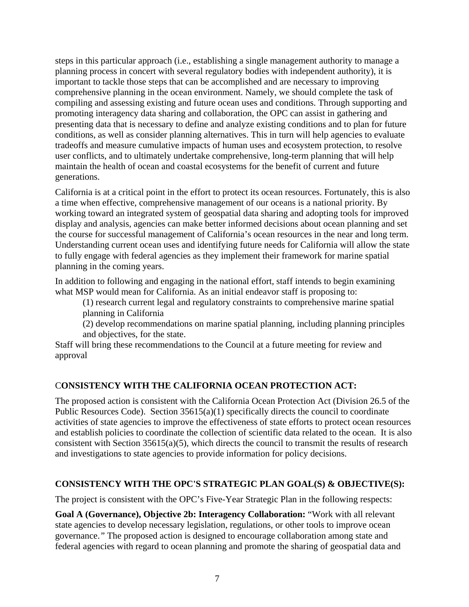steps in this particular approach (i.e., establishing a single management authority to manage a planning process in concert with several regulatory bodies with independent authority), it is important to tackle those steps that can be accomplished and are necessary to improving comprehensive planning in the ocean environment. Namely, we should complete the task of compiling and assessing existing and future ocean uses and conditions. Through supporting and promoting interagency data sharing and collaboration, the OPC can assist in gathering and presenting data that is necessary to define and analyze existing conditions and to plan for future conditions, as well as consider planning alternatives. This in turn will help agencies to evaluate tradeoffs and measure cumulative impacts of human uses and ecosystem protection, to resolve user conflicts, and to ultimately undertake comprehensive, long-term planning that will help maintain the health of ocean and coastal ecosystems for the benefit of current and future generations.

California is at a critical point in the effort to protect its ocean resources. Fortunately, this is also a time when effective, comprehensive management of our oceans is a national priority. By working toward an integrated system of geospatial data sharing and adopting tools for improved display and analysis, agencies can make better informed decisions about ocean planning and set the course for successful management of California's ocean resources in the near and long term. Understanding current ocean uses and identifying future needs for California will allow the state to fully engage with federal agencies as they implement their framework for marine spatial planning in the coming years.

In addition to following and engaging in the national effort, staff intends to begin examining what MSP would mean for California. As an initial endeavor staff is proposing to:

(1) research current legal and regulatory constraints to comprehensive marine spatial planning in California

(2) develop recommendations on marine spatial planning, including planning principles and objectives, for the state.

Staff will bring these recommendations to the Council at a future meeting for review and approval

## C**ONSISTENCY WITH THE CALIFORNIA OCEAN PROTECTION ACT:**

The proposed action is consistent with the California Ocean Protection Act (Division 26.5 of the Public Resources Code). Section 35615(a)(1) specifically directs the council to coordinate activities of state agencies to improve the effectiveness of state efforts to protect ocean resources and establish policies to coordinate the collection of scientific data related to the ocean. It is also consistent with Section 35615(a)(5), which directs the council to transmit the results of research and investigations to state agencies to provide information for policy decisions.

## **CONSISTENCY WITH THE OPC'S STRATEGIC PLAN GOAL(S) & OBJECTIVE(S):**

The project is consistent with the OPC's Five-Year Strategic Plan in the following respects:

**Goal A (Governance), Objective 2b: Interagency Collaboration:** "Work with all relevant state agencies to develop necessary legislation, regulations, or other tools to improve ocean governance.*"* The proposed action is designed to encourage collaboration among state and federal agencies with regard to ocean planning and promote the sharing of geospatial data and